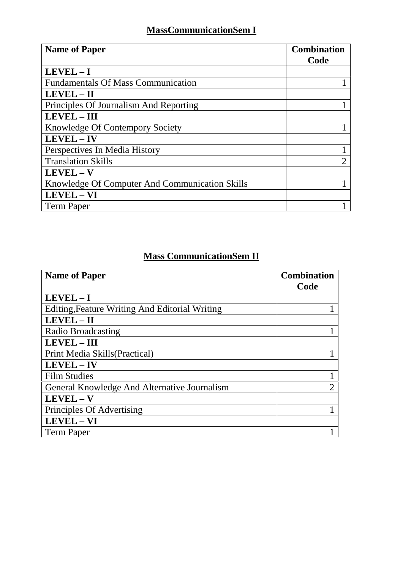## **MassCommunicationSem I**

| <b>Name of Paper</b>                           | <b>Combination</b><br>Code |
|------------------------------------------------|----------------------------|
| $LEVEL - I$                                    |                            |
| <b>Fundamentals Of Mass Communication</b>      |                            |
| LEVEL - II                                     |                            |
| Principles Of Journalism And Reporting         |                            |
| <b>LEVEL - III</b>                             |                            |
| Knowledge Of Contempory Society                |                            |
| <b>LEVEL-IV</b>                                |                            |
| Perspectives In Media History                  |                            |
| <b>Translation Skills</b>                      | 2                          |
| $LEVEL - V$                                    |                            |
| Knowledge Of Computer And Communication Skills |                            |
| LEVEL - VI                                     |                            |
| <b>Term Paper</b>                              |                            |

## **Mass CommunicationSem II**

| <b>Name of Paper</b>                                  | <b>Combination</b> |
|-------------------------------------------------------|--------------------|
|                                                       | Code               |
| $LEVEL - I$                                           |                    |
| <b>Editing, Feature Writing And Editorial Writing</b> |                    |
| LEVEL-II                                              |                    |
| Radio Broadcasting                                    |                    |
| <b>LEVEL - III</b>                                    |                    |
| Print Media Skills (Practical)                        |                    |
| LEVEL - IV                                            |                    |
| <b>Film Studies</b>                                   |                    |
| General Knowledge And Alternative Journalism          | $\overline{2}$     |
| LEVEL-V                                               |                    |
| Principles Of Advertising                             |                    |
| LEVEL - VI                                            |                    |
| <b>Term Paper</b>                                     |                    |